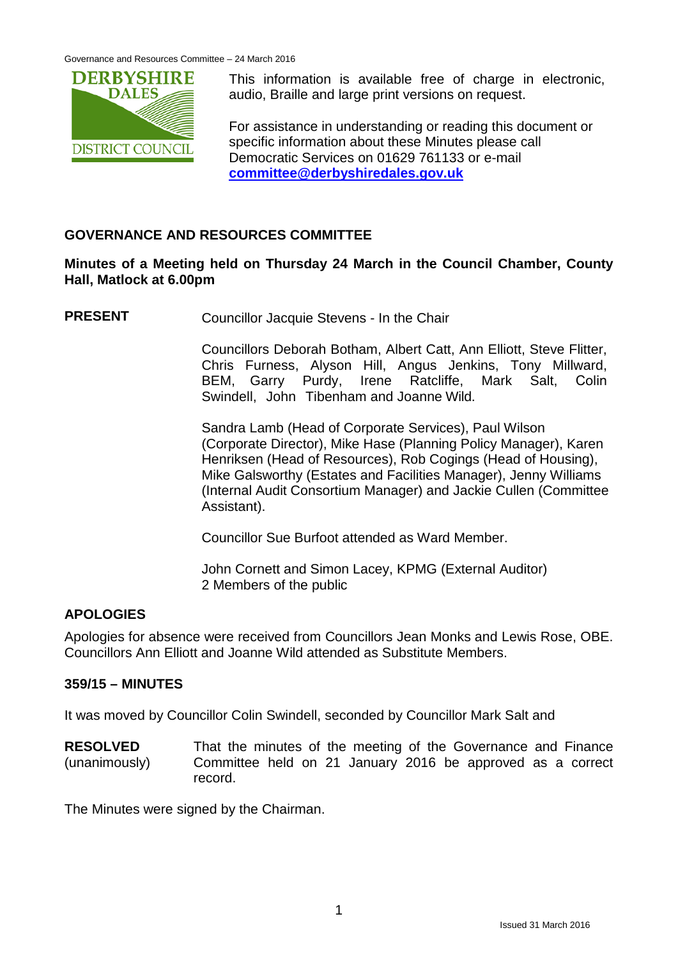

This information is available free of charge in electronic, audio, Braille and large print versions on request.

For assistance in understanding or reading this document or specific information about these Minutes please call Democratic Services on 01629 761133 or e-mail **[committee@derbyshiredales.gov.uk](mailto:committee@derbyshiredales.gov.uk)**

# **GOVERNANCE AND RESOURCES COMMITTEE**

# **Minutes of a Meeting held on Thursday 24 March in the Council Chamber, County Hall, Matlock at 6.00pm**

**PRESENT** Councillor Jacquie Stevens - In the Chair

Councillors Deborah Botham, Albert Catt, Ann Elliott, Steve Flitter, Chris Furness, Alyson Hill, Angus Jenkins, Tony Millward, BEM, Garry Purdy, Irene Ratcliffe, Mark Salt, Colin Swindell, John Tibenham and Joanne Wild.

Sandra Lamb (Head of Corporate Services), Paul Wilson (Corporate Director), Mike Hase (Planning Policy Manager), Karen Henriksen (Head of Resources), Rob Cogings (Head of Housing), Mike Galsworthy (Estates and Facilities Manager), Jenny Williams (Internal Audit Consortium Manager) and Jackie Cullen (Committee Assistant).

Councillor Sue Burfoot attended as Ward Member.

John Cornett and Simon Lacey, KPMG (External Auditor) 2 Members of the public

#### **APOLOGIES**

Apologies for absence were received from Councillors Jean Monks and Lewis Rose, OBE. Councillors Ann Elliott and Joanne Wild attended as Substitute Members.

#### **359/15 – MINUTES**

It was moved by Councillor Colin Swindell, seconded by Councillor Mark Salt and

**RESOLVED** (unanimously) That the minutes of the meeting of the Governance and Finance Committee held on 21 January 2016 be approved as a correct record.

The Minutes were signed by the Chairman.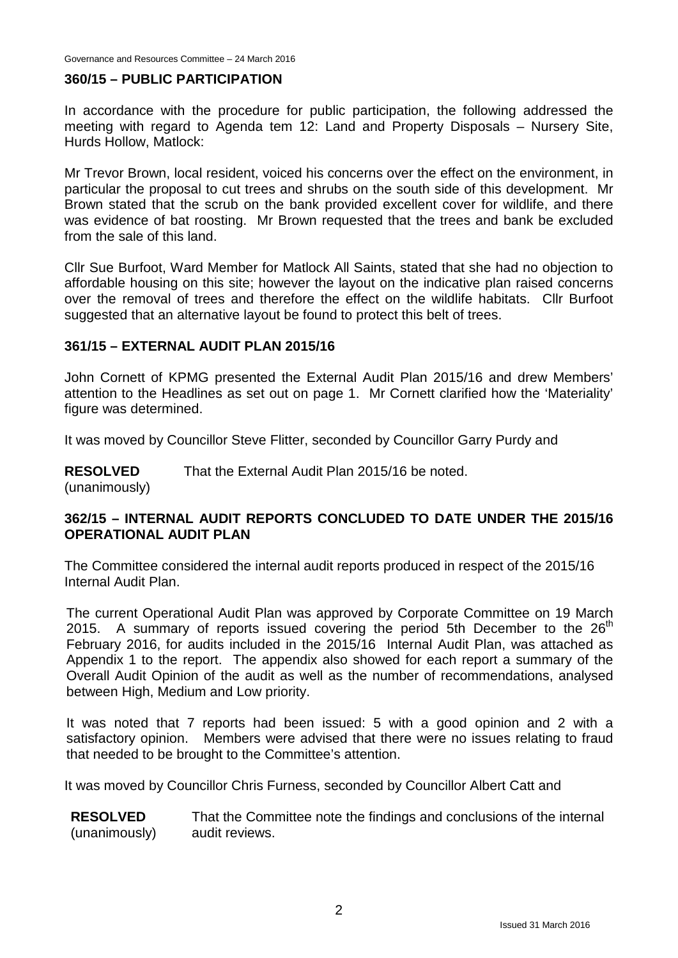#### **360/15 – PUBLIC PARTICIPATION**

In accordance with the procedure for public participation, the following addressed the meeting with regard to Agenda tem 12: Land and Property Disposals – Nursery Site, Hurds Hollow, Matlock:

Mr Trevor Brown, local resident, voiced his concerns over the effect on the environment, in particular the proposal to cut trees and shrubs on the south side of this development. Mr Brown stated that the scrub on the bank provided excellent cover for wildlife, and there was evidence of bat roosting. Mr Brown requested that the trees and bank be excluded from the sale of this land.

Cllr Sue Burfoot, Ward Member for Matlock All Saints, stated that she had no objection to affordable housing on this site; however the layout on the indicative plan raised concerns over the removal of trees and therefore the effect on the wildlife habitats. Cllr Burfoot suggested that an alternative layout be found to protect this belt of trees.

#### **361/15 – EXTERNAL AUDIT PLAN 2015/16**

John Cornett of KPMG presented the External Audit Plan 2015/16 and drew Members' attention to the Headlines as set out on page 1. Mr Cornett clarified how the 'Materiality' figure was determined.

It was moved by Councillor Steve Flitter, seconded by Councillor Garry Purdy and

**RESOLVED** That the External Audit Plan 2015/16 be noted.

(unanimously)

#### **362/15 – INTERNAL AUDIT REPORTS CONCLUDED TO DATE UNDER THE 2015/16 OPERATIONAL AUDIT PLAN**

The Committee considered the internal audit reports produced in respect of the 2015/16 Internal Audit Plan.

The current Operational Audit Plan was approved by Corporate Committee on 19 March 2015. A summary of reports issued covering the period 5th December to the  $26<sup>th</sup>$ February 2016, for audits included in the 2015/16 Internal Audit Plan, was attached as Appendix 1 to the report. The appendix also showed for each report a summary of the Overall Audit Opinion of the audit as well as the number of recommendations, analysed between High, Medium and Low priority.

It was noted that 7 reports had been issued: 5 with a good opinion and 2 with a satisfactory opinion. Members were advised that there were no issues relating to fraud that needed to be brought to the Committee's attention.

It was moved by Councillor Chris Furness, seconded by Councillor Albert Catt and

**RESOLVED** (unanimously) That the Committee note the findings and conclusions of the internal audit reviews.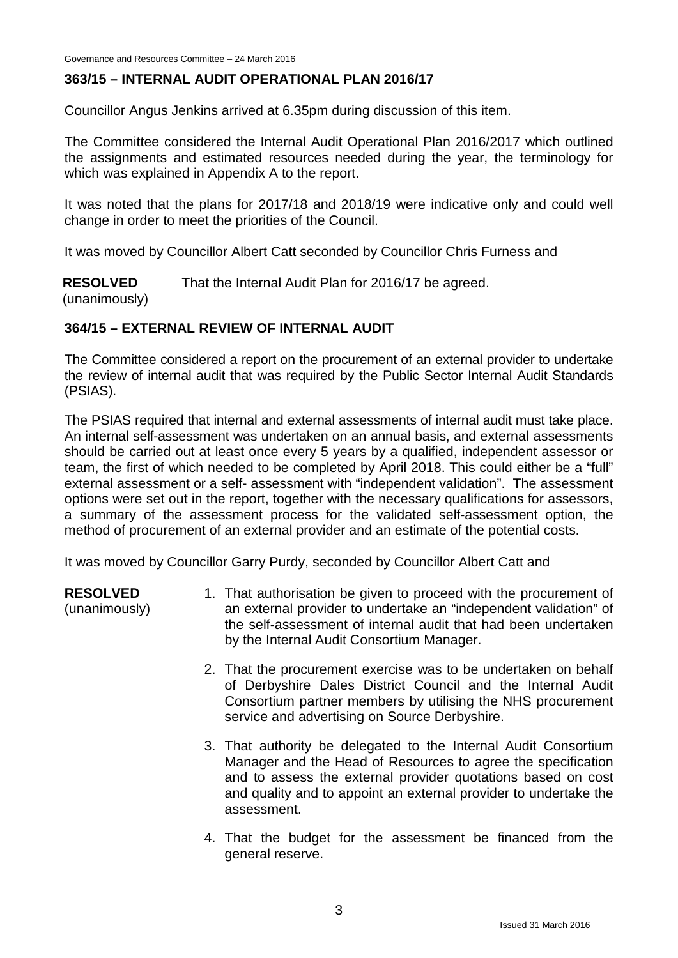# **363/15 – INTERNAL AUDIT OPERATIONAL PLAN 2016/17**

Councillor Angus Jenkins arrived at 6.35pm during discussion of this item.

The Committee considered the Internal Audit Operational Plan 2016/2017 which outlined the assignments and estimated resources needed during the year, the terminology for which was explained in Appendix A to the report.

It was noted that the plans for 2017/18 and 2018/19 were indicative only and could well change in order to meet the priorities of the Council.

It was moved by Councillor Albert Catt seconded by Councillor Chris Furness and

**RESOLVED** That the Internal Audit Plan for 2016/17 be agreed.

(unanimously)

# **364/15 – EXTERNAL REVIEW OF INTERNAL AUDIT**

The Committee considered a report on the procurement of an external provider to undertake the review of internal audit that was required by the Public Sector Internal Audit Standards (PSIAS).

The PSIAS required that internal and external assessments of internal audit must take place. An internal self-assessment was undertaken on an annual basis, and external assessments should be carried out at least once every 5 years by a qualified, independent assessor or team, the first of which needed to be completed by April 2018. This could either be a "full" external assessment or a self- assessment with "independent validation". The assessment options were set out in the report, together with the necessary qualifications for assessors, a summary of the assessment process for the validated self-assessment option, the method of procurement of an external provider and an estimate of the potential costs.

It was moved by Councillor Garry Purdy, seconded by Councillor Albert Catt and

**RESOLVED**

(unanimously)

- 1. That authorisation be given to proceed with the procurement of an external provider to undertake an "independent validation" of the self-assessment of internal audit that had been undertaken by the Internal Audit Consortium Manager.
- 2. That the procurement exercise was to be undertaken on behalf of Derbyshire Dales District Council and the Internal Audit Consortium partner members by utilising the NHS procurement service and advertising on Source Derbyshire.
- 3. That authority be delegated to the Internal Audit Consortium Manager and the Head of Resources to agree the specification and to assess the external provider quotations based on cost and quality and to appoint an external provider to undertake the assessment.
- 4. That the budget for the assessment be financed from the general reserve.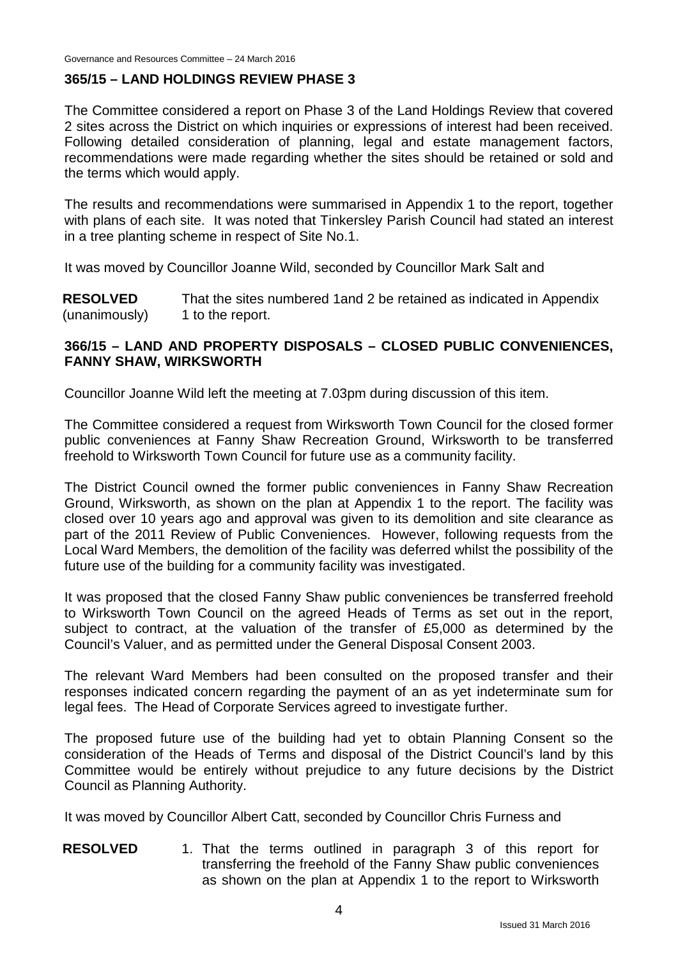## **365/15 – LAND HOLDINGS REVIEW PHASE 3**

The Committee considered a report on Phase 3 of the Land Holdings Review that covered 2 sites across the District on which inquiries or expressions of interest had been received. Following detailed consideration of planning, legal and estate management factors, recommendations were made regarding whether the sites should be retained or sold and the terms which would apply.

The results and recommendations were summarised in Appendix 1 to the report, together with plans of each site. It was noted that Tinkersley Parish Council had stated an interest in a tree planting scheme in respect of Site No.1.

It was moved by Councillor Joanne Wild, seconded by Councillor Mark Salt and

**RESOLVED** (unanimously) That the sites numbered 1and 2 be retained as indicated in Appendix 1 to the report.

# **366/15 – LAND AND PROPERTY DISPOSALS – CLOSED PUBLIC CONVENIENCES, FANNY SHAW, WIRKSWORTH**

Councillor Joanne Wild left the meeting at 7.03pm during discussion of this item.

The Committee considered a request from Wirksworth Town Council for the closed former public conveniences at Fanny Shaw Recreation Ground, Wirksworth to be transferred freehold to Wirksworth Town Council for future use as a community facility.

The District Council owned the former public conveniences in Fanny Shaw Recreation Ground, Wirksworth, as shown on the plan at Appendix 1 to the report. The facility was closed over 10 years ago and approval was given to its demolition and site clearance as part of the 2011 Review of Public Conveniences. However, following requests from the Local Ward Members, the demolition of the facility was deferred whilst the possibility of the future use of the building for a community facility was investigated.

It was proposed that the closed Fanny Shaw public conveniences be transferred freehold to Wirksworth Town Council on the agreed Heads of Terms as set out in the report, subject to contract, at the valuation of the transfer of £5,000 as determined by the Council's Valuer, and as permitted under the General Disposal Consent 2003.

The relevant Ward Members had been consulted on the proposed transfer and their responses indicated concern regarding the payment of an as yet indeterminate sum for legal fees. The Head of Corporate Services agreed to investigate further.

The proposed future use of the building had yet to obtain Planning Consent so the consideration of the Heads of Terms and disposal of the District Council's land by this Committee would be entirely without prejudice to any future decisions by the District Council as Planning Authority.

It was moved by Councillor Albert Catt, seconded by Councillor Chris Furness and

**RESOLVED** 1. That the terms outlined in paragraph 3 of this report for transferring the freehold of the Fanny Shaw public conveniences as shown on the plan at Appendix 1 to the report to Wirksworth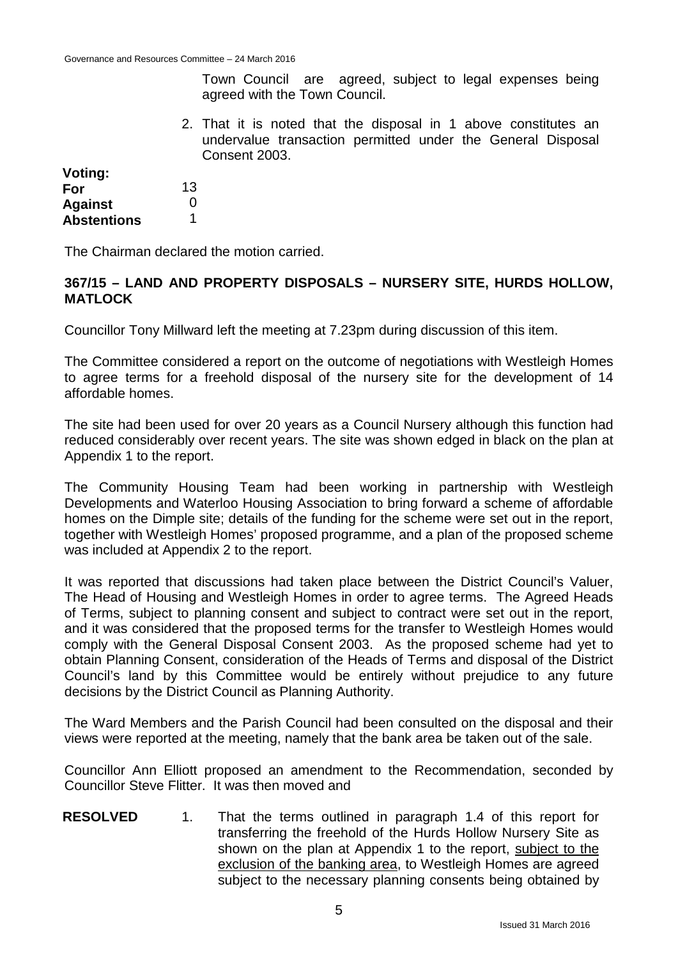Town Council are agreed, subject to legal expenses being agreed with the Town Council.

2. That it is noted that the disposal in 1 above constitutes an undervalue transaction permitted under the General Disposal Consent 2003.

| Voting:            |              |
|--------------------|--------------|
| For                | 13           |
| Against            | $\mathbf{0}$ |
| <b>Abstentions</b> |              |

The Chairman declared the motion carried.

#### **367/15 – LAND AND PROPERTY DISPOSALS – NURSERY SITE, HURDS HOLLOW, MATLOCK**

Councillor Tony Millward left the meeting at 7.23pm during discussion of this item.

The Committee considered a report on the outcome of negotiations with Westleigh Homes to agree terms for a freehold disposal of the nursery site for the development of 14 affordable homes.

The site had been used for over 20 years as a Council Nursery although this function had reduced considerably over recent years. The site was shown edged in black on the plan at Appendix 1 to the report.

The Community Housing Team had been working in partnership with Westleigh Developments and Waterloo Housing Association to bring forward a scheme of affordable homes on the Dimple site; details of the funding for the scheme were set out in the report, together with Westleigh Homes' proposed programme, and a plan of the proposed scheme was included at Appendix 2 to the report.

It was reported that discussions had taken place between the District Council's Valuer, The Head of Housing and Westleigh Homes in order to agree terms. The Agreed Heads of Terms, subject to planning consent and subject to contract were set out in the report, and it was considered that the proposed terms for the transfer to Westleigh Homes would comply with the General Disposal Consent 2003. As the proposed scheme had yet to obtain Planning Consent, consideration of the Heads of Terms and disposal of the District Council's land by this Committee would be entirely without prejudice to any future decisions by the District Council as Planning Authority.

The Ward Members and the Parish Council had been consulted on the disposal and their views were reported at the meeting, namely that the bank area be taken out of the sale.

Councillor Ann Elliott proposed an amendment to the Recommendation, seconded by Councillor Steve Flitter. It was then moved and

**RESOLVED** 1. That the terms outlined in paragraph 1.4 of this report for transferring the freehold of the Hurds Hollow Nursery Site as shown on the plan at Appendix 1 to the report, subject to the exclusion of the banking area, to Westleigh Homes are agreed subject to the necessary planning consents being obtained by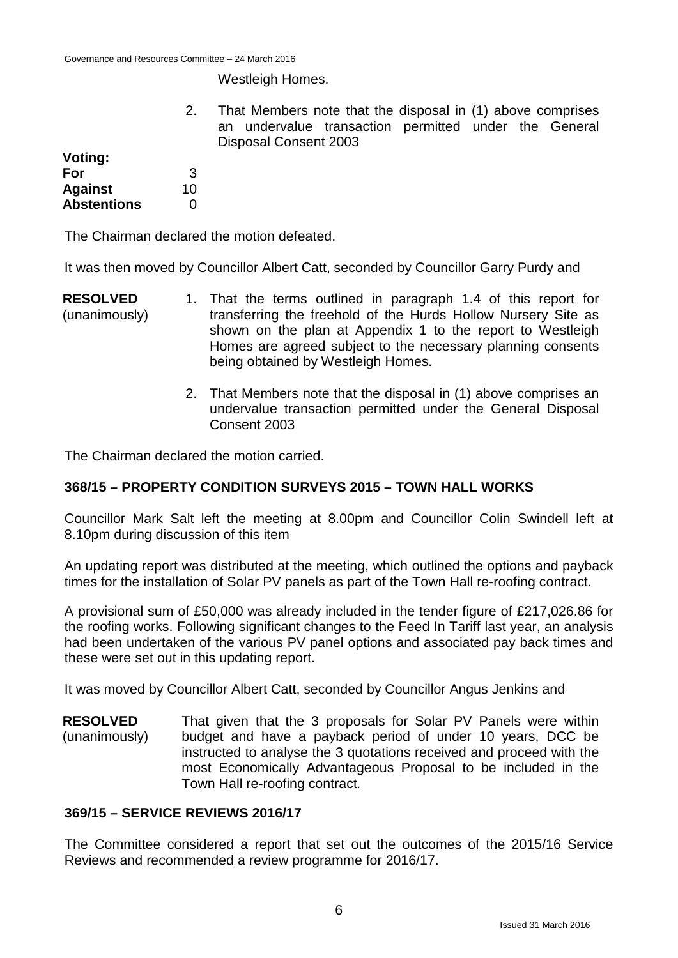Westleigh Homes.

2. That Members note that the disposal in (1) above comprises an undervalue transaction permitted under the General Disposal Consent 2003

| Voting:            |    |
|--------------------|----|
| For                | З  |
| <b>Against</b>     | 10 |
| <b>Abstentions</b> | O  |

The Chairman declared the motion defeated.

It was then moved by Councillor Albert Catt, seconded by Councillor Garry Purdy and

- **RESOLVED** (unanimously) 1. That the terms outlined in paragraph 1.4 of this report for transferring the freehold of the Hurds Hollow Nursery Site as shown on the plan at Appendix 1 to the report to Westleigh Homes are agreed subject to the necessary planning consents being obtained by Westleigh Homes.
	- 2. That Members note that the disposal in (1) above comprises an undervalue transaction permitted under the General Disposal Consent 2003

The Chairman declared the motion carried.

# **368/15 – PROPERTY CONDITION SURVEYS 2015 – TOWN HALL WORKS**

Councillor Mark Salt left the meeting at 8.00pm and Councillor Colin Swindell left at 8.10pm during discussion of this item

An updating report was distributed at the meeting, which outlined the options and payback times for the installation of Solar PV panels as part of the Town Hall re-roofing contract.

A provisional sum of £50,000 was already included in the tender figure of £217,026.86 for the roofing works. Following significant changes to the Feed In Tariff last year, an analysis had been undertaken of the various PV panel options and associated pay back times and these were set out in this updating report.

It was moved by Councillor Albert Catt, seconded by Councillor Angus Jenkins and

**RESOLVED** (unanimously) That given that the 3 proposals for Solar PV Panels were within budget and have a payback period of under 10 years, DCC be instructed to analyse the 3 quotations received and proceed with the most Economically Advantageous Proposal to be included in the Town Hall re-roofing contract*.*

#### **369/15 – SERVICE REVIEWS 2016/17**

The Committee considered a report that set out the outcomes of the 2015/16 Service Reviews and recommended a review programme for 2016/17.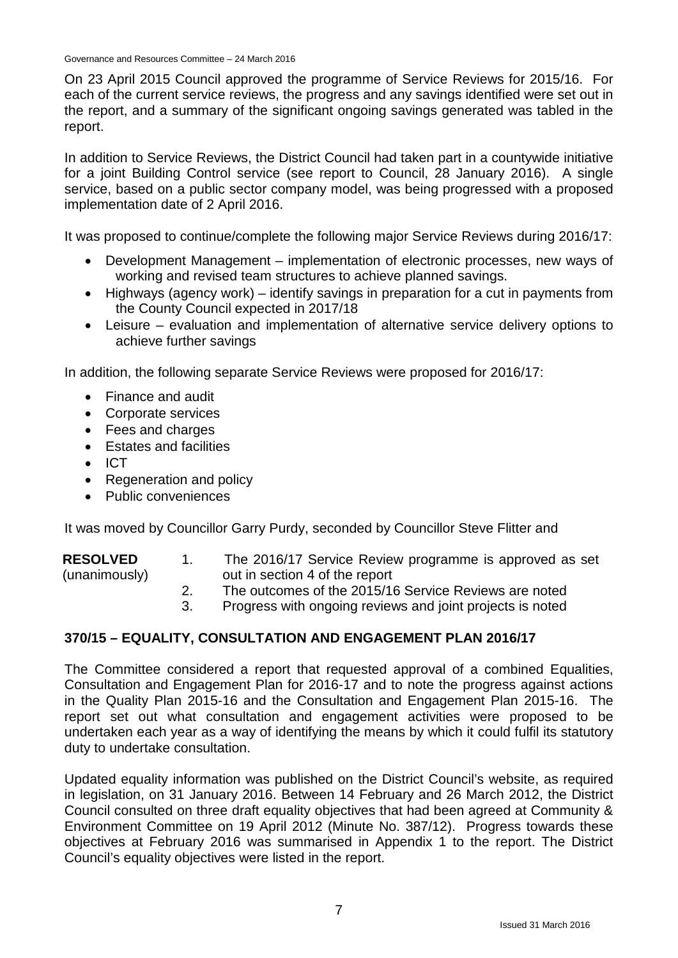Governance and Resources Committee – 24 March 2016

On 23 April 2015 Council approved the programme of Service Reviews for 2015/16. For each of the current service reviews, the progress and any savings identified were set out in the report, and a summary of the significant ongoing savings generated was tabled in the report.

In addition to Service Reviews, the District Council had taken part in a countywide initiative for a joint Building Control service (see report to Council, 28 January 2016). A single service, based on a public sector company model, was being progressed with a proposed implementation date of 2 April 2016.

It was proposed to continue/complete the following major Service Reviews during 2016/17:

- Development Management implementation of electronic processes, new ways of working and revised team structures to achieve planned savings.
- Highways (agency work) identify savings in preparation for a cut in payments from the County Council expected in 2017/18
- Leisure evaluation and implementation of alternative service delivery options to achieve further savings

In addition, the following separate Service Reviews were proposed for 2016/17:

- Finance and audit
- Corporate services
- Fees and charges
- Estates and facilities
- ICT
- Regeneration and policy
- Public conveniences

It was moved by Councillor Garry Purdy, seconded by Councillor Steve Flitter and

| <b>RESOLVED</b> | The 2016/17 Service Review programme is approved as set |
|-----------------|---------------------------------------------------------|
| (unanimously)   | out in section 4 of the report                          |

- 2. The outcomes of the 2015/16 Service Reviews are noted
- 3. Progress with ongoing reviews and joint projects is noted

# **370/15 – EQUALITY, CONSULTATION AND ENGAGEMENT PLAN 2016/17**

The Committee considered a report that requested approval of a combined Equalities, Consultation and Engagement Plan for 2016-17 and to note the progress against actions in the Quality Plan 2015-16 and the Consultation and Engagement Plan 2015-16. The report set out what consultation and engagement activities were proposed to be undertaken each year as a way of identifying the means by which it could fulfil its statutory duty to undertake consultation.

Updated equality information was published on the District Council's website, as required in legislation, on 31 January 2016. Between 14 February and 26 March 2012, the District Council consulted on three draft equality objectives that had been agreed at Community & Environment Committee on 19 April 2012 (Minute No. 387/12). Progress towards these objectives at February 2016 was summarised in Appendix 1 to the report. The District Council's equality objectives were listed in the report.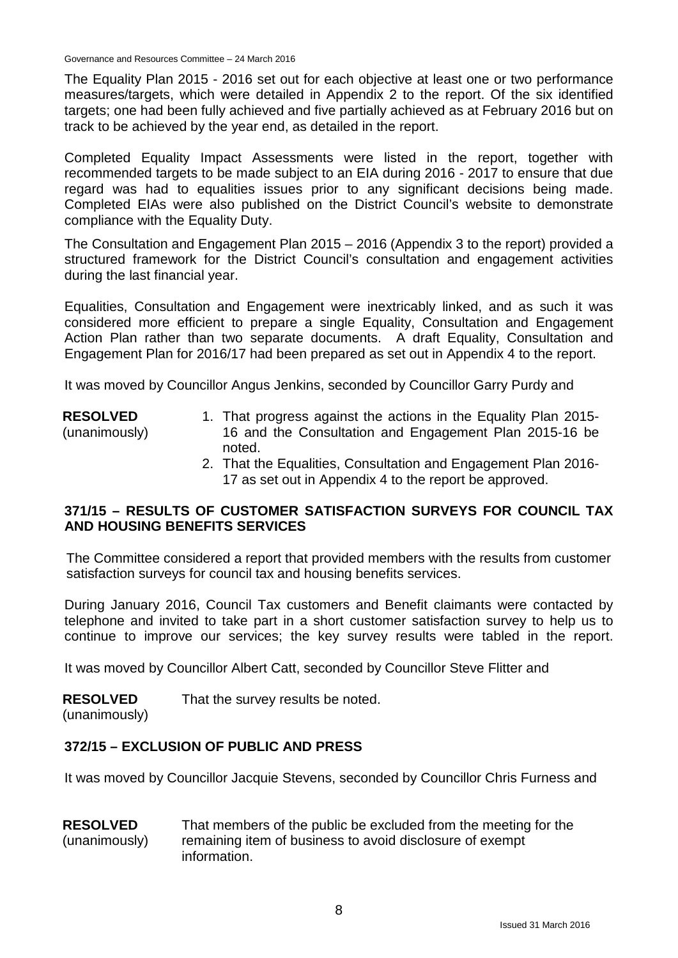Governance and Resources Committee – 24 March 2016

The Equality Plan 2015 - 2016 set out for each objective at least one or two performance measures/targets, which were detailed in Appendix 2 to the report. Of the six identified targets; one had been fully achieved and five partially achieved as at February 2016 but on track to be achieved by the year end, as detailed in the report.

Completed Equality Impact Assessments were listed in the report, together with recommended targets to be made subject to an EIA during 2016 - 2017 to ensure that due regard was had to equalities issues prior to any significant decisions being made. Completed EIAs were also published on the District Council's website to demonstrate compliance with the Equality Duty.

The Consultation and Engagement Plan 2015 – 2016 (Appendix 3 to the report) provided a structured framework for the District Council's consultation and engagement activities during the last financial year.

Equalities, Consultation and Engagement were inextricably linked, and as such it was considered more efficient to prepare a single Equality, Consultation and Engagement Action Plan rather than two separate documents. A draft Equality, Consultation and Engagement Plan for 2016/17 had been prepared as set out in Appendix 4 to the report.

It was moved by Councillor Angus Jenkins, seconded by Councillor Garry Purdy and

- **RESOLVED** (unanimously) 1. That progress against the actions in the Equality Plan 2015- 16 and the Consultation and Engagement Plan 2015-16 be noted.
	- 2. That the Equalities, Consultation and Engagement Plan 2016- 17 as set out in Appendix 4 to the report be approved.

# **371/15 – RESULTS OF CUSTOMER SATISFACTION SURVEYS FOR COUNCIL TAX AND HOUSING BENEFITS SERVICES**

The Committee considered a report that provided members with the results from customer satisfaction surveys for council tax and housing benefits services.

During January 2016, Council Tax customers and Benefit claimants were contacted by telephone and invited to take part in a short customer satisfaction survey to help us to continue to improve our services; the key survey results were tabled in the report.

It was moved by Councillor Albert Catt, seconded by Councillor Steve Flitter and

**RESOLVED** That the survey results be noted.

(unanimously)

# **372/15 – EXCLUSION OF PUBLIC AND PRESS**

It was moved by Councillor Jacquie Stevens, seconded by Councillor Chris Furness and

#### **RESOLVED** (unanimously) That members of the public be excluded from the meeting for the remaining item of business to avoid disclosure of exempt information.